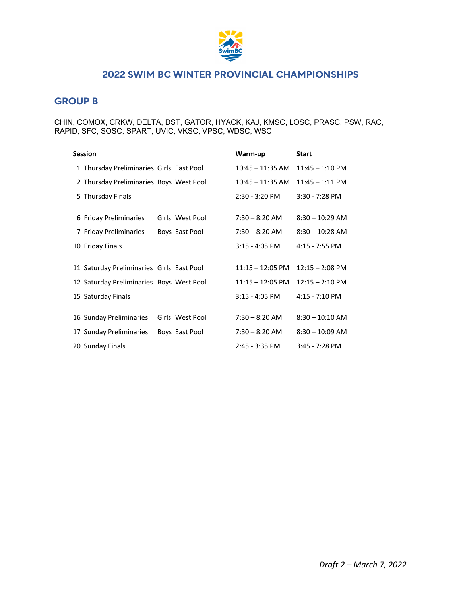

### **GROUP B**

CHIN, COMOX, CRKW, DELTA, DST, GATOR, HYACK, KAJ, KMSC, LOSC, PRASC, PSW, RAC, RAPID, SFC, SOSC, SPART, UVIC, VKSC, VPSC, WDSC, WSC

| <b>Session</b>                             | Warm-up            | <b>Start</b>              |
|--------------------------------------------|--------------------|---------------------------|
| 1 Thursday Preliminaries Girls East Pool   | $10:45 - 11:35$ AM | $11:45 - 1:10 \text{ PM}$ |
| 2 Thursday Preliminaries Boys West Pool    | $10:45 - 11:35$ AM | $11:45 - 1:11$ PM         |
| 5 Thursday Finals                          | $2:30 - 3:20$ PM   | $3:30 - 7:28$ PM          |
| 6 Friday Preliminaries<br>Girls West Pool  | $7:30 - 8:20$ AM   | $8:30 - 10:29$ AM         |
| 7 Friday Preliminaries<br>Boys East Pool   | $7:30 - 8:20$ AM   | $8:30 - 10:28$ AM         |
| 10 Friday Finals                           | $3:15 - 4:05$ PM   | 4:15 - 7:55 PM            |
| 11 Saturday Preliminaries Girls East Pool  | $11:15 - 12:05$ PM | $12:15 - 2:08$ PM         |
| 12 Saturday Preliminaries Boys West Pool   | $11:15 - 12:05$ PM | $12:15 - 2:10 \text{ PM}$ |
| 15 Saturday Finals                         | $3:15 - 4:05$ PM   | 4:15 - 7:10 PM            |
| 16 Sunday Preliminaries<br>Girls West Pool | $7:30 - 8:20$ AM   | $8:30 - 10:10$ AM         |
| 17 Sunday Preliminaries<br>Boys East Pool  | $7:30 - 8:20$ AM   | $8:30 - 10:09$ AM         |
| 20 Sunday Finals                           | $2:45 - 3:35$ PM   | $3:45 - 7:28$ PM          |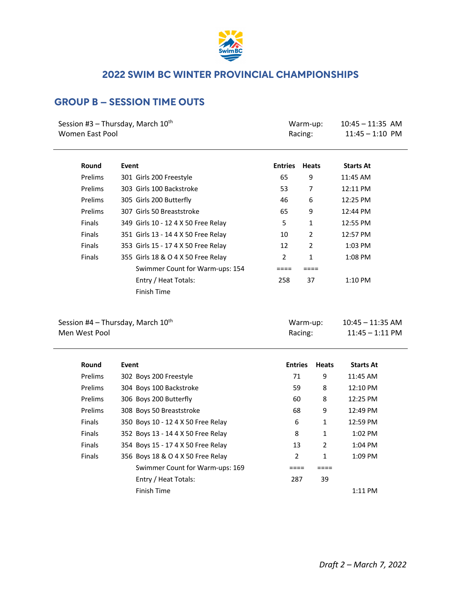

## **GROUP B – SESSION TIME OUTS**

| Women East Pool | Session #3 - Thursday, March 10 <sup>th</sup> |                | Warm-up:<br>Racing: | $10:45 - 11:35$ AM<br>$11:45 - 1:10$ PM |
|-----------------|-----------------------------------------------|----------------|---------------------|-----------------------------------------|
| Round           | Event                                         | <b>Entries</b> | <b>Heats</b>        | <b>Starts At</b>                        |
| Prelims         | 301 Girls 200 Freestyle                       | 65             | 9                   | 11:45 AM                                |
| Prelims         | 303 Girls 100 Backstroke                      | 53             | 7                   | 12:11 PM                                |
| Prelims         | 305 Girls 200 Butterfly                       | 46             | 6                   | 12:25 PM                                |
| Prelims         | 307 Girls 50 Breaststroke                     | 65             | 9                   | 12:44 PM                                |
| Finals          | 349 Girls 10 - 12 4 X 50 Free Relay           | 5              | 1                   | 12:55 PM                                |
| Finals          | 351 Girls 13 - 14 4 X 50 Free Relay           | 10             | $\overline{2}$      | 12:57 PM                                |
| Finals          | 353 Girls 15 - 17 4 X 50 Free Relay           | 12             | $\overline{2}$      | 1:03 PM                                 |
| Finals          | 355 Girls 18 & O 4 X 50 Free Relay            | 2              | $\mathbf{1}$        | 1:08 PM                                 |
|                 | Swimmer Count for Warm-ups: 154               | $====$         | $====$              |                                         |
|                 | Entry / Heat Totals:                          | 258            | 37                  | 1:10 PM                                 |
|                 | Finish Time                                   |                |                     |                                         |
| Men West Pool   | Session #4 - Thursday, March 10 <sup>th</sup> |                | Warm-up:<br>Racing: | $10:45 - 11:35$ AM<br>$11:45 - 1:11$ PM |
| Round           | Event                                         | <b>Entries</b> | <b>Heats</b>        | <b>Starts At</b>                        |
| Prelims         | 302 Boys 200 Freestyle                        | 71             | 9                   | 11:45 AM                                |
| Prelims         | 304 Boys 100 Backstroke                       | 59             | 8                   | 12:10 PM                                |
| Prelims         | 306 Boys 200 Butterfly                        | 60             | 8                   | 12:25 PM                                |
| Prelims         | 308 Boys 50 Breaststroke                      | 68             |                     | 9<br>12:49 PM                           |
| Finals          | 350 Boys 10 - 12 4 X 50 Free Relay            | 6              | $\mathbf{1}$        | 12:59 PM                                |
| <b>Finals</b>   | 352 Boys 13 - 14 4 X 50 Free Relay            | 8              |                     | 1:02 PM<br>$\mathbf{1}$                 |
| Finals          | 354 Boys 15 - 17 4 X 50 Free Relay            | 13             |                     | $\overline{2}$<br>1:04 PM               |
| <b>Finals</b>   | 356 Boys 18 & O 4 X 50 Free Relay             | $\overline{2}$ |                     | 1<br>1:09 PM                            |

Swimmer Count for Warm-ups: 169 ==== ==== ==== Entry / Heat Totals: 287 39

Finish Time 1:11 PM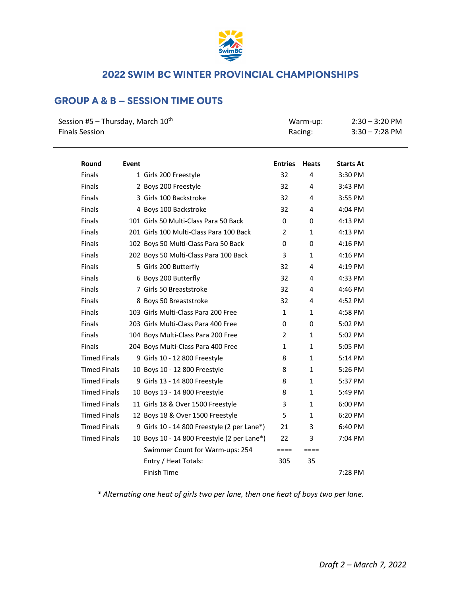

# **GROUP A & B – SESSION TIME OUTS**

| Session #5 – Thursday, March $10^{th}$<br><b>Finals Session</b> |       | Warm-up:<br>Racing:                         |                | $2:30 - 3:20$ PM<br>$3:30 - 7:28$ PM |                  |
|-----------------------------------------------------------------|-------|---------------------------------------------|----------------|--------------------------------------|------------------|
| Round                                                           | Event |                                             | <b>Entries</b> | <b>Heats</b>                         | <b>Starts At</b> |
| <b>Finals</b>                                                   |       | 1 Girls 200 Freestyle                       | 32             | 4                                    | 3:30 PM          |
| <b>Finals</b>                                                   |       | 2 Boys 200 Freestyle                        | 32             | 4                                    | 3:43 PM          |
| <b>Finals</b>                                                   |       | 3 Girls 100 Backstroke                      | 32             | 4                                    | 3:55 PM          |
| <b>Finals</b>                                                   |       | 4 Boys 100 Backstroke                       | 32             | 4                                    | 4:04 PM          |
| <b>Finals</b>                                                   |       | 101 Girls 50 Multi-Class Para 50 Back       | 0              | 0                                    | 4:13 PM          |
| <b>Finals</b>                                                   |       | 201 Girls 100 Multi-Class Para 100 Back     | $\overline{2}$ | $\mathbf{1}$                         | 4:13 PM          |
| <b>Finals</b>                                                   |       | 102 Boys 50 Multi-Class Para 50 Back        | 0              | 0                                    | 4:16 PM          |
| <b>Finals</b>                                                   |       | 202 Boys 50 Multi-Class Para 100 Back       | 3              | $\mathbf{1}$                         | 4:16 PM          |
| <b>Finals</b>                                                   |       | 5 Girls 200 Butterfly                       | 32             | 4                                    | 4:19 PM          |
| <b>Finals</b>                                                   |       | 6 Boys 200 Butterfly                        | 32             | 4                                    | 4:33 PM          |
| <b>Finals</b>                                                   |       | 7 Girls 50 Breaststroke                     | 32             | 4                                    | 4:46 PM          |
| <b>Finals</b>                                                   |       | 8 Boys 50 Breaststroke                      | 32             | 4                                    | 4:52 PM          |
| <b>Finals</b>                                                   |       | 103 Girls Multi-Class Para 200 Free         | $\mathbf{1}$   | $\mathbf{1}$                         | 4:58 PM          |
| <b>Finals</b>                                                   |       | 203 Girls Multi-Class Para 400 Free         | 0              | 0                                    | 5:02 PM          |
| <b>Finals</b>                                                   |       | 104 Boys Multi-Class Para 200 Free          | $\overline{2}$ | $\mathbf{1}$                         | 5:02 PM          |
| <b>Finals</b>                                                   |       | 204 Boys Multi-Class Para 400 Free          | $\mathbf{1}$   | $\mathbf{1}$                         | 5:05 PM          |
| <b>Timed Finals</b>                                             |       | 9 Girls 10 - 12 800 Freestyle               | 8              | $\mathbf{1}$                         | 5:14 PM          |
| <b>Timed Finals</b>                                             |       | 10 Boys 10 - 12 800 Freestyle               | 8              | $\mathbf{1}$                         | 5:26 PM          |
| <b>Timed Finals</b>                                             |       | 9 Girls 13 - 14 800 Freestyle               | 8              | $\mathbf{1}$                         | 5:37 PM          |
| <b>Timed Finals</b>                                             |       | 10 Boys 13 - 14 800 Freestyle               | 8              | $\mathbf{1}$                         | 5:49 PM          |
| <b>Timed Finals</b>                                             |       | 11 Girls 18 & Over 1500 Freestyle           | 3              | $\mathbf{1}$                         | 6:00 PM          |
| <b>Timed Finals</b>                                             |       | 12 Boys 18 & Over 1500 Freestyle            | 5              | 1                                    | 6:20 PM          |
| <b>Timed Finals</b>                                             |       | 9 Girls 10 - 14 800 Freestyle (2 per Lane*) | 21             | 3                                    | 6:40 PM          |
| <b>Timed Finals</b>                                             |       | 10 Boys 10 - 14 800 Freestyle (2 per Lane*) | 22             | 3                                    | 7:04 PM          |
|                                                                 |       | Swimmer Count for Warm-ups: 254             | $====$         | $====$                               |                  |
|                                                                 |       | Entry / Heat Totals:                        | 305            | 35                                   |                  |
|                                                                 |       | Finish Time                                 |                |                                      | 7:28 PM          |

*\* Alternating one heat of girls two per lane, then one heat of boys two per lane.*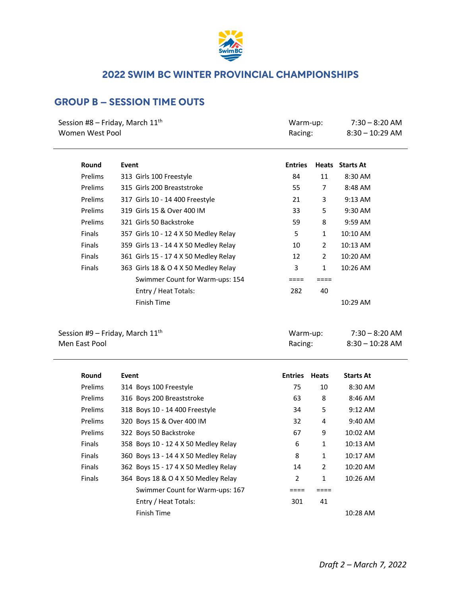

# **GROUP B – SESSION TIME OUTS**

| Session #8 – Friday, March $11^{\text{th}}$<br>Women West Pool |                                       | Warm-up:<br>Racing: |    | $7:30 - 8:20$ AM<br>$8:30 - 10:29$ AM |  |
|----------------------------------------------------------------|---------------------------------------|---------------------|----|---------------------------------------|--|
| Round                                                          | Event                                 | <b>Entries</b>      |    | <b>Heats</b> Starts At                |  |
| Prelims                                                        | 313 Girls 100 Freestyle               | 84                  | 11 | 8:30 AM                               |  |
| Prelims                                                        | 315 Girls 200 Breaststroke            | 55                  | 7  | 8:48 AM                               |  |
| Prelims                                                        | 317 Girls 10 - 14 400 Freestyle       | 21                  | 3  | $9:13$ AM                             |  |
| Prelims                                                        | 319 Girls 15 & Over 400 IM            | 33                  | 5  | $9:30$ AM                             |  |
| Prelims                                                        | 321 Girls 50 Backstroke               | 59                  | 8  | $9:59$ AM                             |  |
| <b>Finals</b>                                                  | 357 Girls 10 - 12 4 X 50 Medley Relay | 5                   | 1  | 10:10 AM                              |  |
| <b>Finals</b>                                                  | 359 Girls 13 - 14 4 X 50 Medley Relay | 10                  | 2  | 10:13 AM                              |  |

| <b>Finals</b> | 359 Girls 13 - 14 4 X 50 Medley Relay | 10  |    | 10:13 AM   |
|---------------|---------------------------------------|-----|----|------------|
| <b>Finals</b> | 361 Girls 15 - 17 4 X 50 Medley Relay | 12  |    | $10:20$ AM |
| <b>Finals</b> | 363 Girls 18 & O 4 X 50 Medley Relay  |     |    | $10:26$ AM |
|               | Swimmer Count for Warm-ups: 154       |     |    |            |
|               | Entry / Heat Totals:                  | 282 | 40 |            |
|               | Finish Time                           |     |    | $10:29$ AM |

Session #9 – Friday, March  $11^{\text{th}}$ Men East Pool

| Warm-up: | $7:30 - 8:20$ AM  |
|----------|-------------------|
| Racing:  | $8:30 - 10:28$ AM |

| Round         | Event                                | <b>Entries</b> | <b>Heats</b>   | <b>Starts At</b>  |
|---------------|--------------------------------------|----------------|----------------|-------------------|
| Prelims       | 314 Boys 100 Freestyle               | 75             | 10             | 8:30 AM           |
| Prelims       | 316 Boys 200 Breaststroke            | 63             | 8              | $8:46$ AM         |
| Prelims       | 318 Boys 10 - 14 400 Freestyle       | 34             | 5              | $9:12 \text{ AM}$ |
| Prelims       | 320 Boys 15 & Over 400 IM            | 32             | 4              | $9:40$ AM         |
| Prelims       | 322 Boys 50 Backstroke               | 67             | 9              | 10:02 AM          |
| <b>Finals</b> | 358 Boys 10 - 12 4 X 50 Medley Relay | 6              | 1              | $10:13$ AM        |
| <b>Finals</b> | 360 Boys 13 - 14 4 X 50 Medley Relay | 8              | 1              | $10:17$ AM        |
| Finals        | 362 Boys 15 - 17 4 X 50 Medley Relay | 14             | $\overline{2}$ | 10:20 AM          |
| <b>Finals</b> | 364 Boys 18 & O 4 X 50 Medley Relay  | 2              | $\mathbf{1}$   | $10:26$ AM        |
|               | Swimmer Count for Warm-ups: 167      |                |                |                   |
|               | Entry / Heat Totals:                 | 301            | 41             |                   |
|               | Finish Time                          |                |                | 10:28 AM          |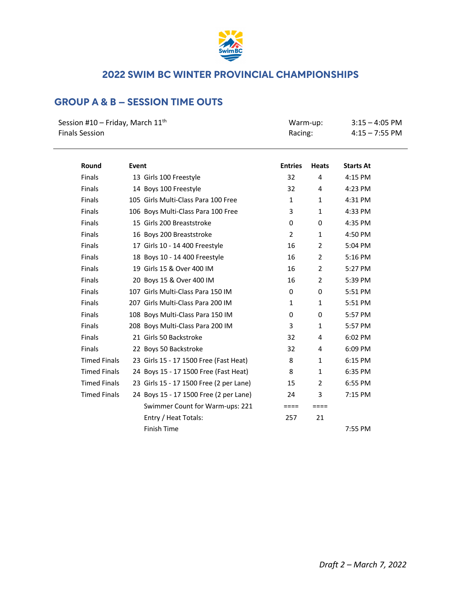

# **GROUP A & B – SESSION TIME OUTS**

| Session #10 – Friday, March 11 <sup>th</sup> | Warm-up: | $3:15 - 4:05$ PM |
|----------------------------------------------|----------|------------------|
| <b>Finals Session</b>                        | Racing:  | $4:15 - 7:55$ PM |
|                                              |          |                  |

| Round               | Event                                   | <b>Entries</b> | <b>Heats</b>   | <b>Starts At</b> |
|---------------------|-----------------------------------------|----------------|----------------|------------------|
| <b>Finals</b>       | 13 Girls 100 Freestyle                  | 32             | 4              | 4:15 PM          |
| <b>Finals</b>       | 14 Boys 100 Freestyle                   | 32             | 4              | 4:23 PM          |
| <b>Finals</b>       | 105 Girls Multi-Class Para 100 Free     | 1              | $\mathbf{1}$   | 4:31 PM          |
| <b>Finals</b>       | 106 Boys Multi-Class Para 100 Free      | 3              | $\mathbf{1}$   | 4:33 PM          |
| <b>Finals</b>       | 15 Girls 200 Breaststroke               | 0              | $\mathbf{0}$   | 4:35 PM          |
| <b>Finals</b>       | 16 Boys 200 Breaststroke                | $\overline{2}$ | $\mathbf{1}$   | 4:50 PM          |
| Finals              | 17 Girls 10 - 14 400 Freestyle          | 16             | 2              | 5:04 PM          |
| <b>Finals</b>       | 18 Boys 10 - 14 400 Freestyle           | 16             | 2              | 5:16 PM          |
| <b>Finals</b>       | 19 Girls 15 & Over 400 IM               | 16             | $\overline{2}$ | 5:27 PM          |
| <b>Finals</b>       | 20 Boys 15 & Over 400 IM                | 16             | $\overline{2}$ | 5:39 PM          |
| <b>Finals</b>       | 107 Girls Multi-Class Para 150 IM       | $\Omega$       | $\Omega$       | 5:51 PM          |
| Finals              | 207 Girls Multi-Class Para 200 IM       | $\mathbf{1}$   | $\mathbf{1}$   | 5:51 PM          |
| <b>Finals</b>       | 108 Boys Multi-Class Para 150 IM        | 0              | 0              | 5:57 PM          |
| <b>Finals</b>       | 208 Boys Multi-Class Para 200 IM        | 3              | $\mathbf{1}$   | 5:57 PM          |
| <b>Finals</b>       | 21 Girls 50 Backstroke                  | 32             | 4              | 6:02 PM          |
| <b>Finals</b>       | 22 Boys 50 Backstroke                   | 32             | 4              | 6:09 PM          |
| <b>Timed Finals</b> | 23 Girls 15 - 17 1500 Free (Fast Heat)  | 8              | $\mathbf{1}$   | 6:15 PM          |
| <b>Timed Finals</b> | 24 Boys 15 - 17 1500 Free (Fast Heat)   | 8              | $\mathbf{1}$   | 6:35 PM          |
| <b>Timed Finals</b> | 23 Girls 15 - 17 1500 Free (2 per Lane) | 15             | $\overline{2}$ | 6:55 PM          |
| <b>Timed Finals</b> | 24 Boys 15 - 17 1500 Free (2 per Lane)  | 24             | 3              | 7:15 PM          |
|                     | Swimmer Count for Warm-ups: 221         | ====           | $====$         |                  |
|                     | Entry / Heat Totals:                    | 257            | 21             |                  |
|                     | <b>Finish Time</b>                      |                |                | 7:55 PM          |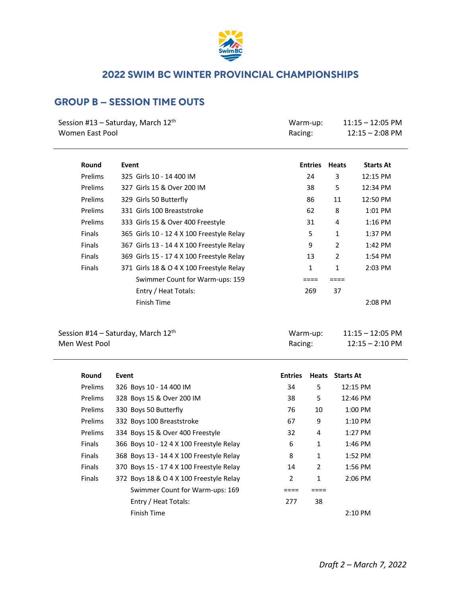

# **GROUP B – SESSION TIME OUTS**

| Session #13 – Saturday, March 12 <sup>th</sup> | Warm-up: | 11:15 – 12:05 PM  |
|------------------------------------------------|----------|-------------------|
| Women East Pool                                | Racing:  | $12:15 - 2:08$ PM |
|                                                |          |                   |

| Round          | Event                                     | <b>Entries</b> | <b>Heats</b>   | <b>Starts At</b> |
|----------------|-------------------------------------------|----------------|----------------|------------------|
| <b>Prelims</b> | 325 Girls 10 - 14 400 IM                  | 24             | 3              | 12:15 PM         |
| <b>Prelims</b> | 327 Girls 15 & Over 200 IM                | 38             | 5              | 12:34 PM         |
| <b>Prelims</b> | 329 Girls 50 Butterfly                    | 86             | 11             | 12:50 PM         |
| Prelims        | 331 Girls 100 Breaststroke                | 62             | 8              | $1:01$ PM        |
| Prelims        | 333 Girls 15 & Over 400 Freestyle         | 31             | 4              | $1:16$ PM        |
| <b>Finals</b>  | 365 Girls 10 - 12 4 X 100 Freestyle Relay | 5              | 1              | 1:37 PM          |
| <b>Finals</b>  | 367 Girls 13 - 14 4 X 100 Freestyle Relay | 9              | $\overline{2}$ | 1:42 PM          |
| <b>Finals</b>  | 369 Girls 15 - 17 4 X 100 Freestyle Relay | 13             | 2              | 1:54 PM          |
| <b>Finals</b>  | 371 Girls 18 & O 4 X 100 Freestyle Relay  | 1              | 1              | $2:03$ PM        |
|                | Swimmer Count for Warm-ups: 159           |                |                |                  |
|                | Entry / Heat Totals:                      | 269            | 37             |                  |
|                | Finish Time                               |                |                | $2:08$ PM        |

| Session #14 - Saturday, March 12th |  |
|------------------------------------|--|
| Men West Pool                      |  |

| Session #14 – Saturday, March 12 <sup>th</sup> | Warm-up: | 11:15 – 12:05 PM              |
|------------------------------------------------|----------|-------------------------------|
| Men West Pool                                  | Racing:  | $12:15 - 2:10 \; \mathrm{PM}$ |

| Round          | Event                                    | <b>Entries</b> | <b>Heats</b> | <b>Starts At</b> |
|----------------|------------------------------------------|----------------|--------------|------------------|
| <b>Prelims</b> | 326 Boys 10 - 14 400 IM                  | 34             | 5            | $12:15$ PM       |
| <b>Prelims</b> | 328 Boys 15 & Over 200 IM                | 38             | 5            | 12:46 PM         |
| Prelims        | 330 Boys 50 Butterfly                    | 76             | 10           | $1:00$ PM        |
| Prelims        | 332 Boys 100 Breaststroke                | 67             | 9            | $1:10$ PM        |
| Prelims        | 334 Boys 15 & Over 400 Freestyle         | 32             | 4            | $1:27$ PM        |
| <b>Finals</b>  | 366 Boys 10 - 12 4 X 100 Freestyle Relay | 6              | $\mathbf{1}$ | $1:46$ PM        |
| <b>Finals</b>  | 368 Boys 13 - 14 4 X 100 Freestyle Relay | 8              | 1            | $1:52$ PM        |
| <b>Finals</b>  | 370 Boys 15 - 17 4 X 100 Freestyle Relay | 14             | 2            | $1:56$ PM        |
| <b>Finals</b>  | 372 Boys 18 & O 4 X 100 Freestyle Relay  | 2              | 1            | $2:06$ PM        |
|                | Swimmer Count for Warm-ups: 169          |                |              |                  |
|                | Entry / Heat Totals:                     | 277            | 38           |                  |
|                | Finish Time                              |                |              | $2:10$ PM        |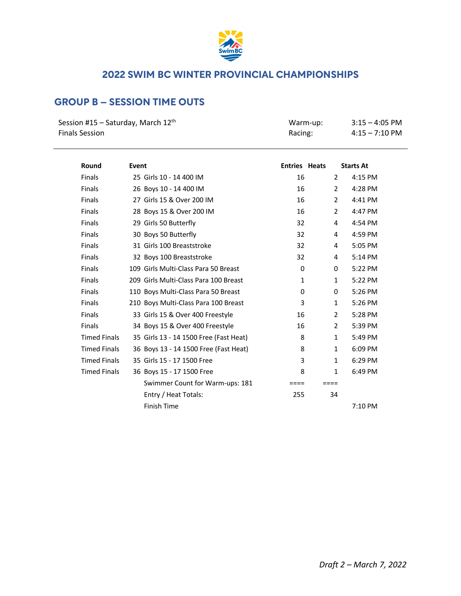

# **GROUP B – SESSION TIME OUTS**

| Session #15 – Saturday, March 12 <sup>th</sup> | Warm-up: | $3:15 - 4:05$ PM         |
|------------------------------------------------|----------|--------------------------|
| Finals Session                                 | Racing:  | $4:15 - 7:10 \text{ PM}$ |

| Round               | Event                                  | <b>Entries Heats</b> |                | <b>Starts At</b> |
|---------------------|----------------------------------------|----------------------|----------------|------------------|
| <b>Finals</b>       | 25 Girls 10 - 14 400 IM                | 16                   | 2              | 4:15 PM          |
| <b>Finals</b>       | 26 Boys 10 - 14 400 IM                 | 16                   | $\overline{2}$ | 4:28 PM          |
| <b>Finals</b>       | 27 Girls 15 & Over 200 IM              | 16                   | 2              | 4:41 PM          |
| <b>Finals</b>       | 28 Boys 15 & Over 200 IM               | 16                   | 2              | 4:47 PM          |
| <b>Finals</b>       | 29 Girls 50 Butterfly                  | 32                   | 4              | 4:54 PM          |
| <b>Finals</b>       | 30 Boys 50 Butterfly                   | 32                   | 4              | 4:59 PM          |
| <b>Finals</b>       | 31 Girls 100 Breaststroke              | 32                   | 4              | 5:05 PM          |
| <b>Finals</b>       | 32 Boys 100 Breaststroke               | 32                   | 4              | 5:14 PM          |
| <b>Finals</b>       | 109 Girls Multi-Class Para 50 Breast   | 0                    | 0              | 5:22 PM          |
| <b>Finals</b>       | 209 Girls Multi-Class Para 100 Breast  | $\mathbf{1}$         | $\mathbf{1}$   | 5:22 PM          |
| <b>Finals</b>       | 110 Boys Multi-Class Para 50 Breast    | 0                    | 0              | 5:26 PM          |
| <b>Finals</b>       | 210 Boys Multi-Class Para 100 Breast   | 3                    | $\mathbf{1}$   | 5:26 PM          |
| <b>Finals</b>       | 33 Girls 15 & Over 400 Freestyle       | 16                   | $\overline{2}$ | 5:28 PM          |
| <b>Finals</b>       | 34 Boys 15 & Over 400 Freestyle        | 16                   | $\overline{2}$ | 5:39 PM          |
| <b>Timed Finals</b> | 35 Girls 13 - 14 1500 Free (Fast Heat) | 8                    | $\mathbf{1}$   | 5:49 PM          |
| <b>Timed Finals</b> | 36 Boys 13 - 14 1500 Free (Fast Heat)  | 8                    | $\mathbf{1}$   | 6:09 PM          |
| <b>Timed Finals</b> | 35 Girls 15 - 17 1500 Free             | 3                    | $\mathbf{1}$   | 6:29 PM          |
| <b>Timed Finals</b> | 36 Boys 15 - 17 1500 Free              | 8                    | $\mathbf{1}$   | 6:49 PM          |
|                     | Swimmer Count for Warm-ups: 181        | $====$               | $====$         |                  |
|                     | Entry / Heat Totals:                   | 255                  | 34             |                  |
|                     | <b>Finish Time</b>                     |                      |                | 7:10 PM          |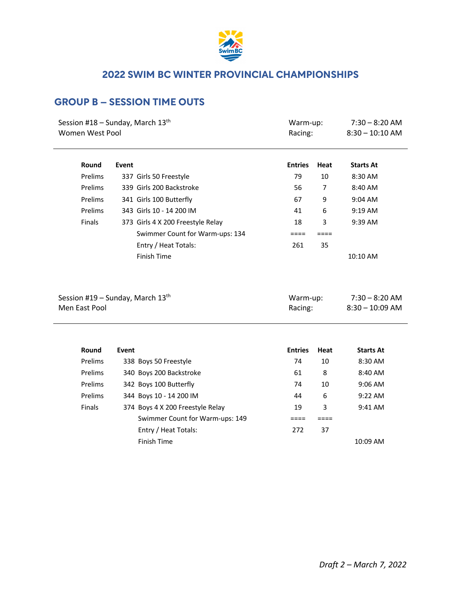

## **GROUP B – SESSION TIME OUTS**

| Women West Pool | Session #18 - Sunday, March $13th$ | Warm-up:<br>Racing: |        | $7:30 - 8:20$ AM<br>$8:30 - 10:10$ AM |  |
|-----------------|------------------------------------|---------------------|--------|---------------------------------------|--|
| Round           | Event                              | <b>Entries</b>      | Heat   | <b>Starts At</b>                      |  |
| Prelims         | 337 Girls 50 Freestyle             | 79                  | 10     | 8:30 AM                               |  |
| Prelims         | 339 Girls 200 Backstroke           | 56                  | 7      | 8:40 AM                               |  |
| Prelims         | 341 Girls 100 Butterfly            | 67                  | 9      | 9:04 AM                               |  |
| Prelims         | 343 Girls 10 - 14 200 IM           | 41                  | 6      | 9:19 AM                               |  |
| Finals          | 373 Girls 4 X 200 Freestyle Relay  | 18                  | 3      | 9:39 AM                               |  |
|                 | Swimmer Count for Warm-ups: 134    | $====$              | $====$ |                                       |  |
|                 | Entry / Heat Totals:               | 261                 | 35     |                                       |  |
|                 | Finish Time                        |                     |        | 10:10 AM                              |  |
| Men East Pool   | Session #19 – Sunday, March $13th$ | Warm-up:<br>Racing: |        | $7:30 - 8:20$ AM<br>$8:30 - 10:09$ AM |  |
| Round           | Event                              | <b>Entries</b>      | Heat   | <b>Starts At</b>                      |  |
| Prelims         | 338 Boys 50 Freestyle              | 74                  | 10     | 8:30 AM                               |  |
| Prelims         | 340 Boys 200 Backstroke            | 61                  | 8      | 8:40 AM                               |  |
| Prelims         | 342 Boys 100 Butterfly             | 74                  | 10     | 9:06 AM                               |  |
| Prelims         | 344 Boys 10 - 14 200 IM            | 44                  | 6      | 9:22 AM                               |  |
| Finals          | 374 Boys 4 X 200 Freestyle Relay   | 19                  | 3      | 9:41 AM                               |  |
|                 | Swimmer Count for Warm-ups: 149    | ====                | $====$ |                                       |  |
|                 | Entry / Heat Totals:               | 272                 | 37     |                                       |  |
|                 | <b>Finish Time</b>                 |                     |        | 10:09 AM                              |  |